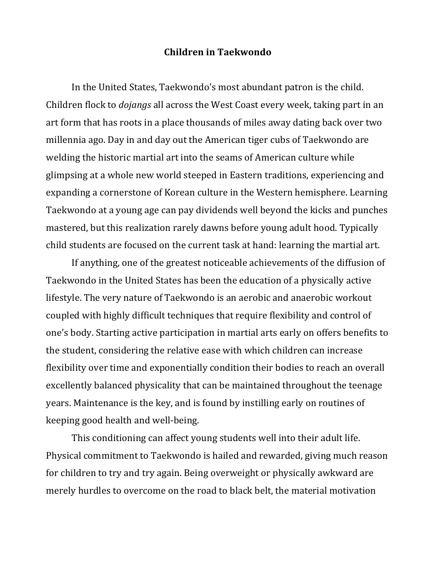## **Children)in)Taekwondo**

In the United States, Taekwondo's most abundant patron is the child. Children flock to *dojangs* all across the West Coast every week, taking part in an art form that has roots in a place thousands of miles away dating back over two millennia ago. Day in and day out the American tiger cubs of Taekwondo are welding the historic martial art into the seams of American culture while glimpsing at a whole new world steeped in Eastern traditions, experiencing and expanding a cornerstone of Korean culture in the Western hemisphere. Learning Taekwondo at a young age can pay dividends well beyond the kicks and punches mastered, but this realization rarely dawns before young adult hood. Typically child students are focused on the current task at hand: learning the martial art.

If anything, one of the greatest noticeable achievements of the diffusion of Taekwondo in the United States has been the education of a physically active lifestyle. The very nature of Taekwondo is an aerobic and anaerobic workout coupled with highly difficult techniques that require flexibility and control of one's body. Starting active participation in martial arts early on offers benefits to the student, considering the relative ease with which children can increase flexibility over time and exponentially condition their bodies to reach an overall excellently balanced physicality that can be maintained throughout the teenage years. Maintenance is the key, and is found by instilling early on routines of keeping good health and well-being.

This conditioning can affect young students well into their adult life. Physical commitment to Taekwondo is hailed and rewarded, giving much reason for children to try and try again. Being overweight or physically awkward are merely hurdles to overcome on the road to black belt, the material motivation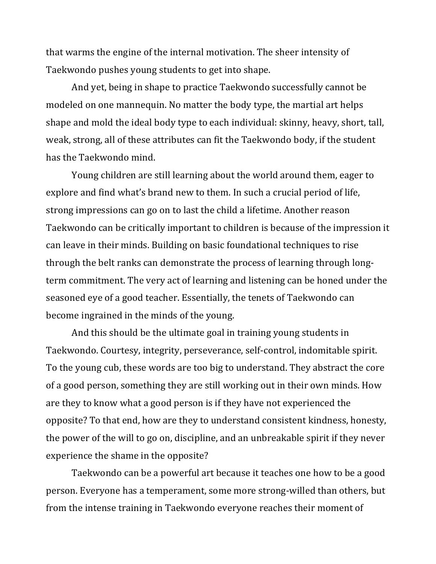that warms the engine of the internal motivation. The sheer intensity of Taekwondo pushes young students to get into shape.

And yet, being in shape to practice Taekwondo successfully cannot be modeled on one mannequin. No matter the body type, the martial art helps shape and mold the ideal body type to each individual: skinny, heavy, short, tall, weak, strong, all of these attributes can fit the Taekwondo body, if the student has the Taekwondo mind.

Young children are still learning about the world around them, eager to explore and find what's brand new to them. In such a crucial period of life, strong impressions can go on to last the child a lifetime. Another reason Taekwondo can be critically important to children is because of the impression it can leave in their minds. Building on basic foundational techniques to rise through the belt ranks can demonstrate the process of learning through longterm commitment. The very act of learning and listening can be honed under the seasoned eye of a good teacher. Essentially, the tenets of Taekwondo can become ingrained in the minds of the young.

And this should be the ultimate goal in training young students in Taekwondo. Courtesy, integrity, perseverance, self-control, indomitable spirit. To the young cub, these words are too big to understand. They abstract the core of a good person, something they are still working out in their own minds. How are they to know what a good person is if they have not experienced the opposite? To that end, how are they to understand consistent kindness, honesty, the power of the will to go on, discipline, and an unbreakable spirit if they never experience the shame in the opposite?

Taekwondo can be a powerful art because it teaches one how to be a good person. Everyone has a temperament, some more strong-willed than others, but from the intense training in Taekwondo everyone reaches their moment of